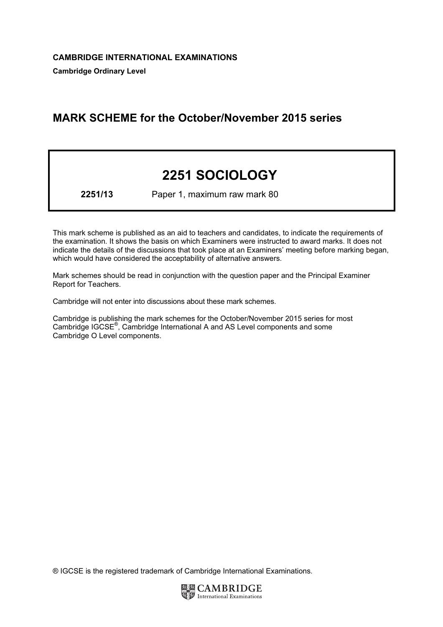# MARK SCHEME for the October/November 2015 series

# 2251 SOCIOLOGY

2251/13 Paper 1, maximum raw mark 80

This mark scheme is published as an aid to teachers and candidates, to indicate the requirements of the examination. It shows the basis on which Examiners were instructed to award marks. It does not indicate the details of the discussions that took place at an Examiners' meeting before marking began, which would have considered the acceptability of alternative answers.

Mark schemes should be read in conjunction with the question paper and the Principal Examiner Report for Teachers.

Cambridge will not enter into discussions about these mark schemes.

Cambridge is publishing the mark schemes for the October/November 2015 series for most Cambridge IGCSE*®* , Cambridge International A and AS Level components and some Cambridge O Level components.

® IGCSE is the registered trademark of Cambridge International Examinations.

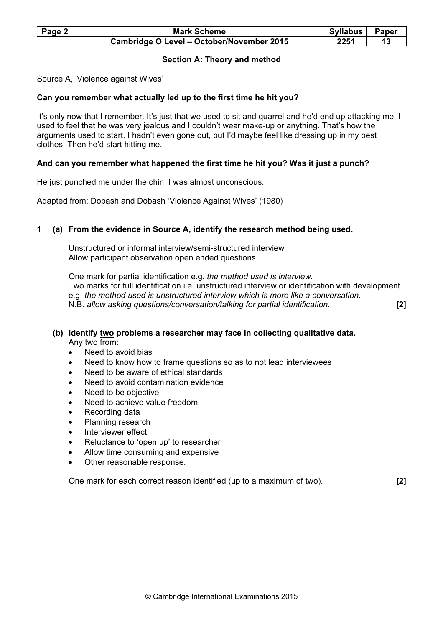| Page 2 | <b>Mark Scheme</b>                        | Syllabus | Paper |
|--------|-------------------------------------------|----------|-------|
|        | Cambridge O Level - October/November 2015 | 2251     |       |

# Section A: Theory and method

Source A, 'Violence against Wives'

# Can you remember what actually led up to the first time he hit you?

It's only now that I remember. It's just that we used to sit and quarrel and he'd end up attacking me. I used to feel that he was very jealous and I couldn't wear make-up or anything. That's how the arguments used to start. I hadn't even gone out, but I'd maybe feel like dressing up in my best clothes. Then he'd start hitting me.

# And can you remember what happened the first time he hit you? Was it just a punch?

He just punched me under the chin. I was almost unconscious.

Adapted from: Dobash and Dobash 'Violence Against Wives' (1980)

# 1 (a) From the evidence in Source A, identify the research method being used.

 Unstructured or informal interview/semi-structured interview Allow participant observation open ended questions

 One mark for partial identification e.g. the method used is interview. Two marks for full identification i.e. unstructured interview or identification with development e.g. the method used is unstructured interview which is more like a conversation. N.B. allow asking questions/conversation/talking for partial identification. [2]

# (b) Identify two problems a researcher may face in collecting qualitative data. Any two from:

- Need to avoid bias
- Need to know how to frame questions so as to not lead interviewees
- Need to be aware of ethical standards
- Need to avoid contamination evidence
- Need to be objective
- Need to achieve value freedom
- Recording data
- Planning research
- Interviewer effect
- Reluctance to 'open up' to researcher
- Allow time consuming and expensive
- Other reasonable response.

One mark for each correct reason identified (up to a maximum of two). [2]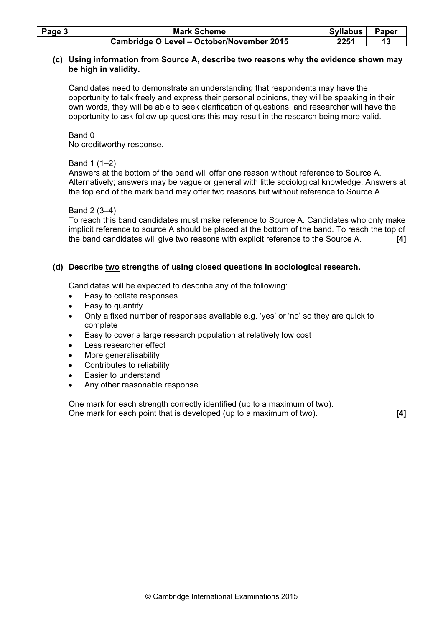| Page $3$ | <b>Mark Scheme</b>                        | <b>Syllabus</b> | Paper |
|----------|-------------------------------------------|-----------------|-------|
|          | Cambridge O Level - October/November 2015 | 2251            |       |

#### (c) Using information from Source A, describe two reasons why the evidence shown may be high in validity.

 Candidates need to demonstrate an understanding that respondents may have the opportunity to talk freely and express their personal opinions, they will be speaking in their own words, they will be able to seek clarification of questions, and researcher will have the opportunity to ask follow up questions this may result in the research being more valid.

Band 0

No creditworthy response.

Band 1 (1–2)

 Answers at the bottom of the band will offer one reason without reference to Source A. Alternatively; answers may be vague or general with little sociological knowledge. Answers at the top end of the mark band may offer two reasons but without reference to Source A.

# Band 2 (3–4)

 To reach this band candidates must make reference to Source A. Candidates who only make implicit reference to source A should be placed at the bottom of the band. To reach the top of the band candidates will give two reasons with explicit reference to the Source A. [4]

# (d) Describe two strengths of using closed questions in sociological research.

Candidates will be expected to describe any of the following:

- Easy to collate responses
- Easy to quantify
- Only a fixed number of responses available e.g. 'yes' or 'no' so they are quick to complete
- Easy to cover a large research population at relatively low cost
- Less researcher effect
- More generalisability
- Contributes to reliability
- Easier to understand
- Any other reasonable response.

 One mark for each strength correctly identified (up to a maximum of two). One mark for each point that is developed (up to a maximum of two). [4]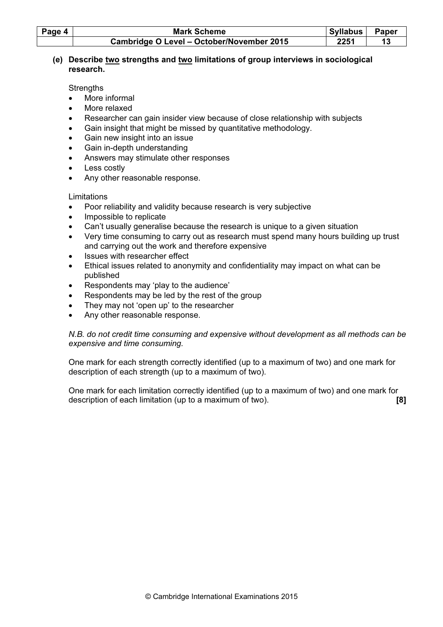| Page 4 | <b>Mark Scheme</b>                        | Syllabus | Paper |
|--------|-------------------------------------------|----------|-------|
|        | Cambridge O Level - October/November 2015 | 2251     |       |

# (e) Describe two strengths and two limitations of group interviews in sociological research.

**Strengths** 

- More informal
- More relaxed
- Researcher can gain insider view because of close relationship with subjects
- Gain insight that might be missed by quantitative methodology.
- Gain new insight into an issue
- Gain in-depth understanding
- Answers may stimulate other responses
- Less costly
- Any other reasonable response.

# Limitations

- Poor reliability and validity because research is very subjective
- Impossible to replicate
- Can't usually generalise because the research is unique to a given situation
- Very time consuming to carry out as research must spend many hours building up trust and carrying out the work and therefore expensive
- Issues with researcher effect
- Ethical issues related to anonymity and confidentiality may impact on what can be published
- Respondents may 'play to the audience'
- Respondents may be led by the rest of the group
- They may not 'open up' to the researcher
- Any other reasonable response.

# N.B. do not credit time consuming and expensive without development as all methods can be expensive and time consuming.

 One mark for each strength correctly identified (up to a maximum of two) and one mark for description of each strength (up to a maximum of two).

 One mark for each limitation correctly identified (up to a maximum of two) and one mark for description of each limitation (up to a maximum of two). [8]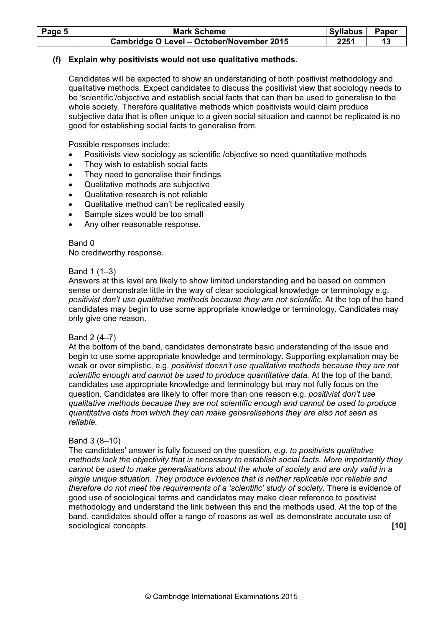| Page 5 | <b>Mark Scheme</b>                        | Syllabus   Paper |  |
|--------|-------------------------------------------|------------------|--|
|        | Cambridge O Level - October/November 2015 | 2251             |  |

# (f) Explain why positivists would not use qualitative methods.

 Candidates will be expected to show an understanding of both positivist methodology and qualitative methods. Expect candidates to discuss the positivist view that sociology needs to be 'scientific'/objective and establish social facts that can then be used to generalise to the whole society. Therefore qualitative methods which positivists would claim produce subjective data that is often unique to a given social situation and cannot be replicated is no good for establishing social facts to generalise from.

Possible responses include:

- Positivists view sociology as scientific /objective so need quantitative methods
- They wish to establish social facts
- They need to generalise their findings
- Qualitative methods are subjective
- Qualitative research is not reliable
- Qualitative method can't be replicated easily
- Sample sizes would be too small
- Any other reasonable response.

#### Band 0

No creditworthy response.

#### Band 1 (1–3)

 Answers at this level are likely to show limited understanding and be based on common sense or demonstrate little in the way of clear sociological knowledge or terminology e.g. positivist don't use qualitative methods because they are not scientific. At the top of the band candidates may begin to use some appropriate knowledge or terminology. Candidates may only give one reason.

#### Band 2 (4–7)

 At the bottom of the band, candidates demonstrate basic understanding of the issue and begin to use some appropriate knowledge and terminology. Supporting explanation may be weak or over simplistic, e.g. positivist doesn't use qualitative methods because they are not scientific enough and cannot be used to produce quantitative data. At the top of the band, candidates use appropriate knowledge and terminology but may not fully focus on the question. Candidates are likely to offer more than one reason e.g. positivist don't use qualitative methods because they are not scientific enough and cannot be used to produce quantitative data from which they can make generalisations they are also not seen as reliable.

#### Band 3 (8–10)

The candidates' answer is fully focused on the question. e.g. to positivists qualitative methods lack the objectivity that is necessary to establish social facts. More importantly they cannot be used to make generalisations about the whole of society and are only valid in a single unique situation. They produce evidence that is neither replicable nor reliable and therefore do not meet the requirements of a 'scientific' study of society. There is evidence of good use of sociological terms and candidates may make clear reference to positivist methodology and understand the link between this and the methods used. At the top of the band, candidates should offer a range of reasons as well as demonstrate accurate use of sociological concepts. **[10] Sociological concepts. [10]**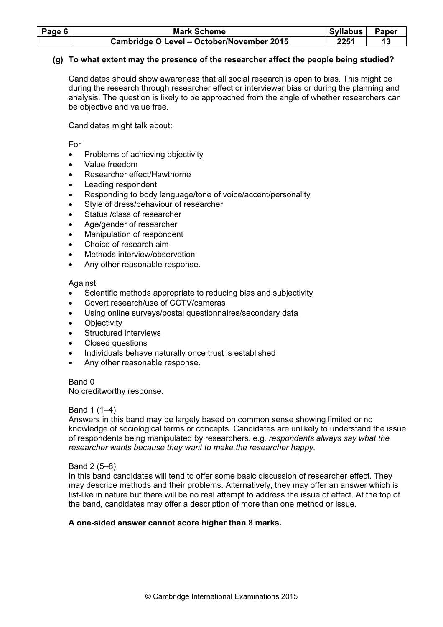| Page 6 | <b>Mark Scheme</b>                        | Syllabus | <b>Paper</b> |
|--------|-------------------------------------------|----------|--------------|
|        | Cambridge O Level - October/November 2015 | 2251     |              |

# (g) To what extent may the presence of the researcher affect the people being studied?

 Candidates should show awareness that all social research is open to bias. This might be during the research through researcher effect or interviewer bias or during the planning and analysis. The question is likely to be approached from the angle of whether researchers can be objective and value free.

Candidates might talk about:

For

- Problems of achieving objectivity
- Value freedom
- Researcher effect/Hawthorne
- Leading respondent
- Responding to body language/tone of voice/accent/personality
- Style of dress/behaviour of researcher
- Status / class of researcher
- Age/gender of researcher
- Manipulation of respondent
- Choice of research aim
- Methods interview/observation
- Any other reasonable response.

#### Against

- Scientific methods appropriate to reducing bias and subjectivity
- Covert research/use of CCTV/cameras
- Using online surveys/postal questionnaires/secondary data
- **Objectivity**
- Structured interviews
- Closed questions
- Individuals behave naturally once trust is established
- Any other reasonable response.

Band 0

No creditworthy response.

#### Band 1 (1–4)

 Answers in this band may be largely based on common sense showing limited or no knowledge of sociological terms or concepts. Candidates are unlikely to understand the issue of respondents being manipulated by researchers. e.g. respondents always say what the researcher wants because they want to make the researcher happy.

#### Band 2 (5–8)

 In this band candidates will tend to offer some basic discussion of researcher effect. They may describe methods and their problems. Alternatively, they may offer an answer which is list-like in nature but there will be no real attempt to address the issue of effect. At the top of the band, candidates may offer a description of more than one method or issue.

#### A one-sided answer cannot score higher than 8 marks.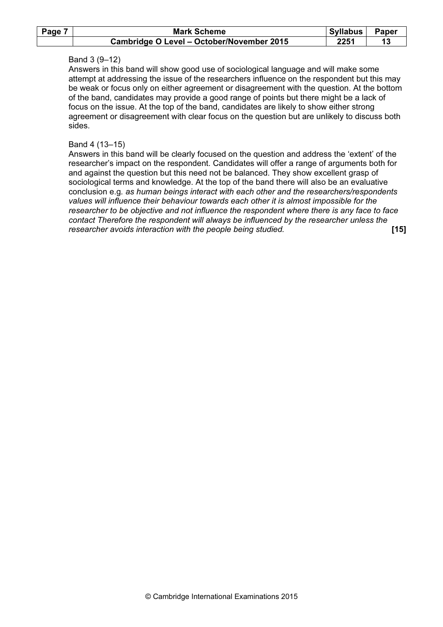| Page 7 | <b>Mark Scheme</b>                        | <b>Syllabus</b> | <b>Paper</b> |
|--------|-------------------------------------------|-----------------|--------------|
|        | Cambridge O Level - October/November 2015 | 2251            |              |

#### Band 3 (9–12)

 Answers in this band will show good use of sociological language and will make some attempt at addressing the issue of the researchers influence on the respondent but this may be weak or focus only on either agreement or disagreement with the question. At the bottom of the band, candidates may provide a good range of points but there might be a lack of focus on the issue. At the top of the band, candidates are likely to show either strong agreement or disagreement with clear focus on the question but are unlikely to discuss both sides.

#### Band 4 (13–15)

 Answers in this band will be clearly focused on the question and address the 'extent' of the researcher's impact on the respondent. Candidates will offer a range of arguments both for and against the question but this need not be balanced. They show excellent grasp of sociological terms and knowledge. At the top of the band there will also be an evaluative conclusion e.g. as human beings interact with each other and the researchers/respondents values will influence their behaviour towards each other it is almost impossible for the researcher to be objective and not influence the respondent where there is any face to face contact Therefore the respondent will always be influenced by the researcher unless the researcher avoids interaction with the people being studied. **[15]** [15]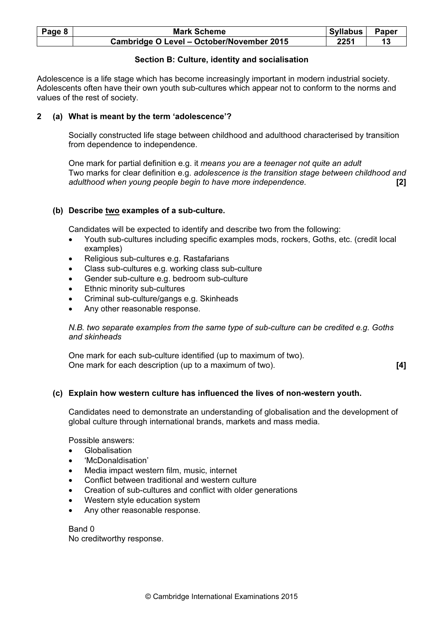| Page 8 | <b>Mark Scheme</b>                        | Syllabus | Paper |
|--------|-------------------------------------------|----------|-------|
|        | Cambridge O Level - October/November 2015 | 2251     |       |

# Section B: Culture, identity and socialisation

Adolescence is a life stage which has become increasingly important in modern industrial society. Adolescents often have their own youth sub-cultures which appear not to conform to the norms and values of the rest of society.

# 2 (a) What is meant by the term 'adolescence'?

 Socially constructed life stage between childhood and adulthood characterised by transition from dependence to independence.

 One mark for partial definition e.g. it means you are a teenager not quite an adult Two marks for clear definition e.g. adolescence is the transition stage between childhood and adulthood when young people begin to have more independence. [2]

# (b) Describe two examples of a sub-culture.

Candidates will be expected to identify and describe two from the following:

- Youth sub-cultures including specific examples mods, rockers, Goths, etc. (credit local examples)
- Religious sub-cultures e.g. Rastafarians
- Class sub-cultures e.g. working class sub-culture
- Gender sub-culture e.g. bedroom sub-culture
- Ethnic minority sub-cultures
- Criminal sub-culture/gangs e.g. Skinheads
- Any other reasonable response.

 N.B. two separate examples from the same type of sub-culture can be credited e.g. Goths and skinheads

 One mark for each sub-culture identified (up to maximum of two). One mark for each description (up to a maximum of two). [4]

# (c) Explain how western culture has influenced the lives of non-western youth.

 Candidates need to demonstrate an understanding of globalisation and the development of global culture through international brands, markets and mass media.

Possible answers:

- Globalisation
- 'McDonaldisation'
- Media impact western film, music, internet
- Conflict between traditional and western culture
- Creation of sub-cultures and conflict with older generations
- Western style education system
- Any other reasonable response.

 Band 0 No creditworthy response.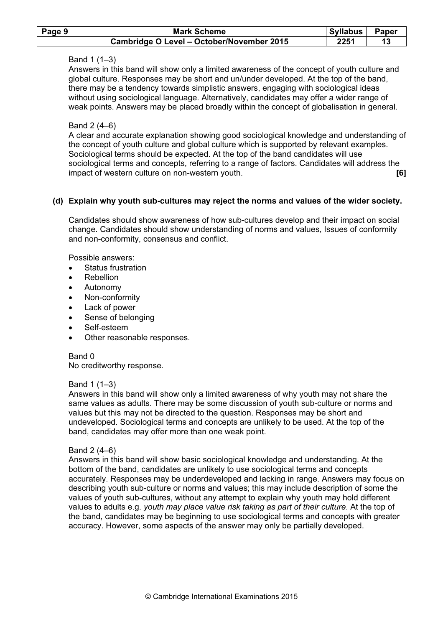| Page 9 | <b>Mark Scheme</b>                        | Syllabus | Paper |
|--------|-------------------------------------------|----------|-------|
|        | Cambridge O Level - October/November 2015 | 2251     |       |

# Band 1 (1–3)

 Answers in this band will show only a limited awareness of the concept of youth culture and global culture. Responses may be short and un/under developed. At the top of the band, there may be a tendency towards simplistic answers, engaging with sociological ideas without using sociological language. Alternatively, candidates may offer a wider range of weak points. Answers may be placed broadly within the concept of globalisation in general.

#### Band 2 (4–6)

 A clear and accurate explanation showing good sociological knowledge and understanding of the concept of youth culture and global culture which is supported by relevant examples. Sociological terms should be expected. At the top of the band candidates will use sociological terms and concepts, referring to a range of factors. Candidates will address the impact of western culture on non-western youth. [6]

#### (d) Explain why youth sub-cultures may reject the norms and values of the wider society.

 Candidates should show awareness of how sub-cultures develop and their impact on social change. Candidates should show understanding of norms and values, Issues of conformity and non-conformity, consensus and conflict.

Possible answers:

- Status frustration
- Rebellion
- Autonomy
- Non-conformity
- Lack of power
- Sense of belonging
- Self-esteem
- Other reasonable responses.

Band 0

No creditworthy response.

#### Band 1 (1–3)

 Answers in this band will show only a limited awareness of why youth may not share the same values as adults. There may be some discussion of youth sub-culture or norms and values but this may not be directed to the question. Responses may be short and undeveloped. Sociological terms and concepts are unlikely to be used. At the top of the band, candidates may offer more than one weak point.

#### Band 2 (4–6)

 Answers in this band will show basic sociological knowledge and understanding. At the bottom of the band, candidates are unlikely to use sociological terms and concepts accurately. Responses may be underdeveloped and lacking in range. Answers may focus on describing youth sub-culture or norms and values; this may include description of some the values of youth sub-cultures, without any attempt to explain why youth may hold different values to adults e.g. youth may place value risk taking as part of their culture. At the top of the band, candidates may be beginning to use sociological terms and concepts with greater accuracy. However, some aspects of the answer may only be partially developed.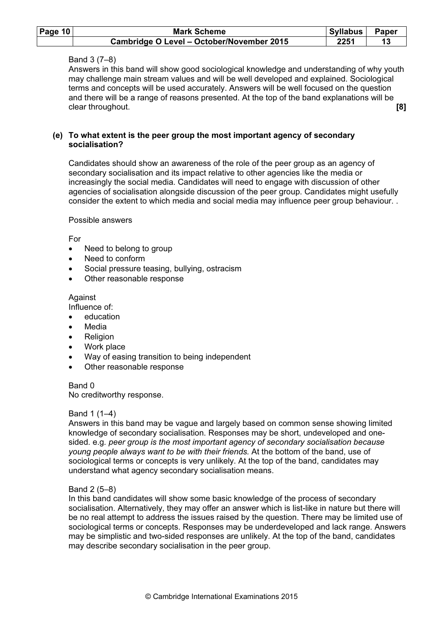| Page 10 | <b>Mark Scheme</b>                        | Syllabus | Paper |
|---------|-------------------------------------------|----------|-------|
|         | Cambridge O Level - October/November 2015 | 2251     |       |

# Band 3 (7–8)

 Answers in this band will show good sociological knowledge and understanding of why youth may challenge main stream values and will be well developed and explained. Sociological terms and concepts will be used accurately. Answers will be well focused on the question and there will be a range of reasons presented. At the top of the band explanations will be clear throughout. **[8] clear** throughout. **[8] clear** throughout. **[8] clear** throughout.

#### (e) To what extent is the peer group the most important agency of secondary socialisation?

 Candidates should show an awareness of the role of the peer group as an agency of secondary socialisation and its impact relative to other agencies like the media or increasingly the social media. Candidates will need to engage with discussion of other agencies of socialisation alongside discussion of the peer group. Candidates might usefully consider the extent to which media and social media may influence peer group behaviour. .

#### Possible answers

#### For

- Need to belong to group
- Need to conform
- Social pressure teasing, bullying, ostracism
- Other reasonable response

#### Against

Influence of:

- education
- **Media**
- **Religion**
- Work place
- Way of easing transition to being independent
- Other reasonable response

#### Band 0 No creditworthy response.

#### Band 1 (1–4)

 Answers in this band may be vague and largely based on common sense showing limited knowledge of secondary socialisation. Responses may be short, undeveloped and onesided. e.g. peer group is the most important agency of secondary socialisation because young people always want to be with their friends. At the bottom of the band, use of sociological terms or concepts is very unlikely. At the top of the band, candidates may understand what agency secondary socialisation means.

#### Band 2 (5–8)

 In this band candidates will show some basic knowledge of the process of secondary socialisation. Alternatively, they may offer an answer which is list-like in nature but there will be no real attempt to address the issues raised by the question. There may be limited use of sociological terms or concepts. Responses may be underdeveloped and lack range. Answers may be simplistic and two-sided responses are unlikely. At the top of the band, candidates may describe secondary socialisation in the peer group.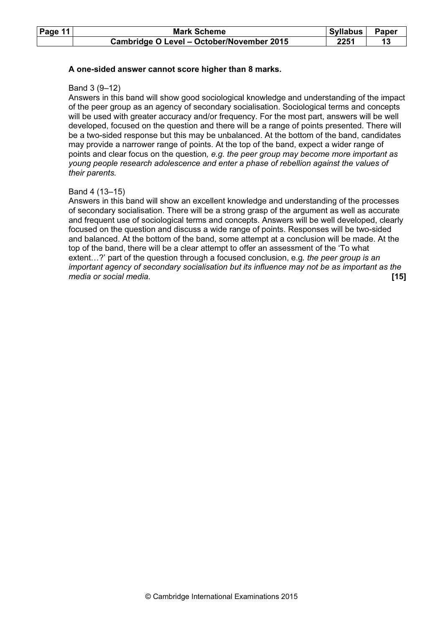| Page $11$ | <b>Mark Scheme</b>                        | Syllabus | Paper |
|-----------|-------------------------------------------|----------|-------|
|           | Cambridge O Level - October/November 2015 | 2251     |       |

#### A one-sided answer cannot score higher than 8 marks.

#### Band 3 (9–12)

 Answers in this band will show good sociological knowledge and understanding of the impact of the peer group as an agency of secondary socialisation. Sociological terms and concepts will be used with greater accuracy and/or frequency. For the most part, answers will be well developed, focused on the question and there will be a range of points presented. There will be a two-sided response but this may be unbalanced. At the bottom of the band, candidates may provide a narrower range of points. At the top of the band, expect a wider range of points and clear focus on the question, e.g. the peer group may become more important as young people research adolescence and enter a phase of rebellion against the values of their parents.

#### Band 4 (13–15)

 Answers in this band will show an excellent knowledge and understanding of the processes of secondary socialisation. There will be a strong grasp of the argument as well as accurate and frequent use of sociological terms and concepts. Answers will be well developed, clearly focused on the question and discuss a wide range of points. Responses will be two-sided and balanced. At the bottom of the band, some attempt at a conclusion will be made. At the top of the band, there will be a clear attempt to offer an assessment of the 'To what extent...?' part of the question through a focused conclusion, e.g. the peer group is an important agency of secondary socialisation but its influence may not be as important as the media or social media. **Example 2018 media** or social media or social media or social media or social media.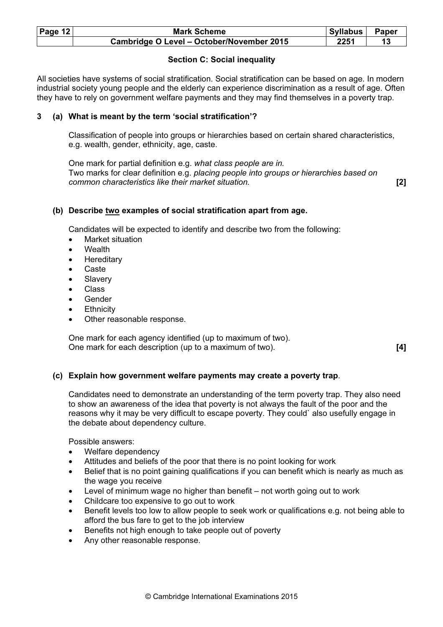| Page 12 | <b>Mark Scheme</b>                        | Syllabus | Paper |
|---------|-------------------------------------------|----------|-------|
|         | Cambridge O Level - October/November 2015 | 2251     |       |

# Section C: Social inequality

All societies have systems of social stratification. Social stratification can be based on age. In modern industrial society young people and the elderly can experience discrimination as a result of age. Often they have to rely on government welfare payments and they may find themselves in a poverty trap.

# 3 (a) What is meant by the term 'social stratification'?

 Classification of people into groups or hierarchies based on certain shared characteristics, e.g. wealth, gender, ethnicity, age, caste.

 One mark for partial definition e.g. what class people are in. Two marks for clear definition e.g. placing people into groups or hierarchies based on common characteristics like their market situation. [2]

# (b) Describe two examples of social stratification apart from age.

Candidates will be expected to identify and describe two from the following:

- Market situation
- Wealth
- **Hereditary**
- **Caste**
- **Slavery**
- Class
- Gender
- **Ethnicity**
- Other reasonable response.

 One mark for each agency identified (up to maximum of two). One mark for each description (up to a maximum of two). [4]

#### (c) Explain how government welfare payments may create a poverty trap.

 Candidates need to demonstrate an understanding of the term poverty trap. They also need to show an awareness of the idea that poverty is not always the fault of the poor and the reasons why it may be very difficult to escape poverty. They could` also usefully engage in the debate about dependency culture.

Possible answers:

- Welfare dependency
- Attitudes and beliefs of the poor that there is no point looking for work
- Belief that is no point gaining qualifications if you can benefit which is nearly as much as the wage you receive
- Level of minimum wage no higher than benefit not worth going out to work
- Childcare too expensive to go out to work
- Benefit levels too low to allow people to seek work or qualifications e.g. not being able to afford the bus fare to get to the job interview
- Benefits not high enough to take people out of poverty
- Any other reasonable response.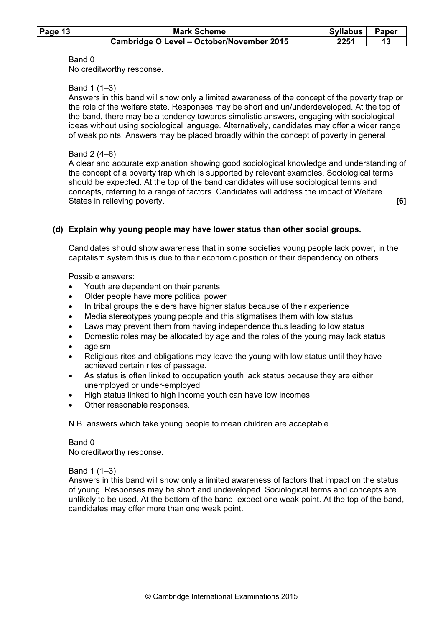| Page $13$ | <b>Mark Scheme</b>                        | Syllabus | Paper |
|-----------|-------------------------------------------|----------|-------|
|           | Cambridge O Level - October/November 2015 | 2251     |       |

#### Band 0

No creditworthy response.

#### Band 1 (1–3)

 Answers in this band will show only a limited awareness of the concept of the poverty trap or the role of the welfare state. Responses may be short and un/underdeveloped. At the top of the band, there may be a tendency towards simplistic answers, engaging with sociological ideas without using sociological language. Alternatively, candidates may offer a wider range of weak points. Answers may be placed broadly within the concept of poverty in general.

#### Band 2 (4–6)

 A clear and accurate explanation showing good sociological knowledge and understanding of the concept of a poverty trap which is supported by relevant examples. Sociological terms should be expected. At the top of the band candidates will use sociological terms and concepts, referring to a range of factors. Candidates will address the impact of Welfare States in relieving poverty. The states in relieving poverty.

# (d) Explain why young people may have lower status than other social groups.

 Candidates should show awareness that in some societies young people lack power, in the capitalism system this is due to their economic position or their dependency on others.

Possible answers:

- Youth are dependent on their parents
- Older people have more political power
- In tribal groups the elders have higher status because of their experience
- Media stereotypes young people and this stigmatises them with low status
- Laws may prevent them from having independence thus leading to low status
- Domestic roles may be allocated by age and the roles of the young may lack status
- ageism
- Religious rites and obligations may leave the young with low status until they have achieved certain rites of passage.
- As status is often linked to occupation youth lack status because they are either unemployed or under-employed
- High status linked to high income youth can have low incomes
- Other reasonable responses.

N.B. answers which take young people to mean children are acceptable.

#### Band 0

No creditworthy response.

Band 1 (1–3)

 Answers in this band will show only a limited awareness of factors that impact on the status of young. Responses may be short and undeveloped. Sociological terms and concepts are unlikely to be used. At the bottom of the band, expect one weak point. At the top of the band, candidates may offer more than one weak point.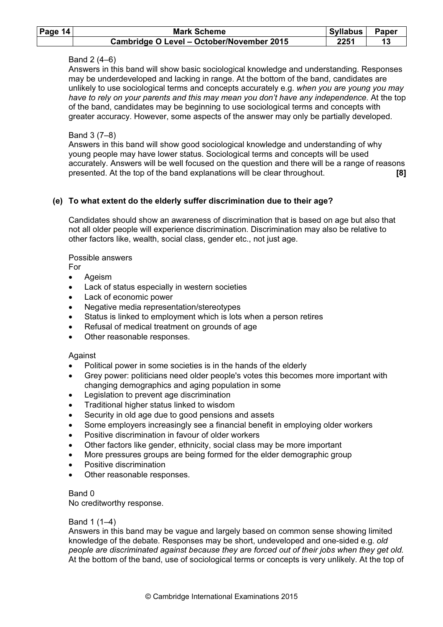| Page $14$ | <b>Mark Scheme</b>                        | Syllabus | Paper |
|-----------|-------------------------------------------|----------|-------|
|           | Cambridge O Level - October/November 2015 | 2251     |       |

# Band 2 (4–6)

 Answers in this band will show basic sociological knowledge and understanding. Responses may be underdeveloped and lacking in range. At the bottom of the band, candidates are unlikely to use sociological terms and concepts accurately e.g. when you are young you may have to rely on your parents and this may mean you don't have any independence. At the top of the band, candidates may be beginning to use sociological terms and concepts with greater accuracy. However, some aspects of the answer may only be partially developed.

# Band 3 (7–8)

 Answers in this band will show good sociological knowledge and understanding of why young people may have lower status. Sociological terms and concepts will be used accurately. Answers will be well focused on the question and there will be a range of reasons presented. At the top of the band explanations will be clear throughout. [8]

# (e) To what extent do the elderly suffer discrimination due to their age?

 Candidates should show an awareness of discrimination that is based on age but also that not all older people will experience discrimination. Discrimination may also be relative to other factors like, wealth, social class, gender etc., not just age.

Possible answers

For

- Ageism
- Lack of status especially in western societies
- Lack of economic power
- Negative media representation/stereotypes
- Status is linked to employment which is lots when a person retires
- Refusal of medical treatment on grounds of age
- Other reasonable responses.

# Against

- Political power in some societies is in the hands of the elderly
- Grey power: politicians need older people's votes this becomes more important with changing demographics and aging population in some
- Legislation to prevent age discrimination
- Traditional higher status linked to wisdom
- Security in old age due to good pensions and assets
- Some employers increasingly see a financial benefit in employing older workers
- Positive discrimination in favour of older workers
- Other factors like gender, ethnicity, social class may be more important
- More pressures groups are being formed for the elder demographic group
- Positive discrimination
- Other reasonable responses.

# Band 0

No creditworthy response.

# Band 1 (1–4)

 Answers in this band may be vague and largely based on common sense showing limited knowledge of the debate. Responses may be short, undeveloped and one-sided e.g. old people are discriminated against because they are forced out of their jobs when they get old. At the bottom of the band, use of sociological terms or concepts is very unlikely. At the top of